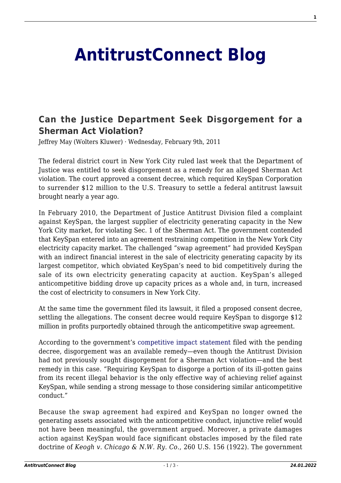## **[AntitrustConnect Blog](http://antitrustconnect.com/)**

## **[Can the Justice Department Seek Disgorgement for a](http://antitrustconnect.com/2011/02/09/can-the-justice-department-seek-disgorgement-for-a-sherman-act-violation/) [Sherman Act Violation?](http://antitrustconnect.com/2011/02/09/can-the-justice-department-seek-disgorgement-for-a-sherman-act-violation/)**

Jeffrey May (Wolters Kluwer) · Wednesday, February 9th, 2011

The federal district court in New York City ruled last week that the Department of Justice was entitled to seek disgorgement as a remedy for an alleged Sherman Act violation. The court approved a consent decree, which required KeySpan Corporation to surrender \$12 million to the U.S. Treasury to settle a federal antitrust lawsuit brought nearly a year ago.

In February 2010, the Department of Justice Antitrust Division filed a complaint against KeySpan, the largest supplier of electricity generating capacity in the New York City market, for violating Sec. 1 of the Sherman Act. The government contended that KeySpan entered into an agreement restraining competition in the New York City electricity capacity market. The challenged "swap agreement" had provided KeySpan with an indirect financial interest in the sale of electricity generating capacity by its largest competitor, which obviated KeySpan's need to bid competitively during the sale of its own electricity generating capacity at auction. KeySpan's alleged anticompetitive bidding drove up capacity prices as a whole and, in turn, increased the cost of electricity to consumers in New York City.

At the same time the government filed its lawsuit, it filed a proposed consent decree, settling the allegations. The consent decree would require KeySpan to disgorge \$12 million in profits purportedly obtained through the anticompetitive swap agreement.

According to the government's [competitive impact statement](http://www.justice.gov/atr/cases/f255500/255578.htm) filed with the pending decree, disgorgement was an available remedy—even though the Antitrust Division had not previously sought disgorgement for a Sherman Act violation—and the best remedy in this case. "Requiring KeySpan to disgorge a portion of its ill-gotten gains from its recent illegal behavior is the only effective way of achieving relief against KeySpan, while sending a strong message to those considering similar anticompetitive conduct."

Because the swap agreement had expired and KeySpan no longer owned the generating assets associated with the anticompetitive conduct, injunctive relief would not have been meaningful, the government argued. Moreover, a private damages action against KeySpan would face significant obstacles imposed by the filed rate doctrine of *Keogh v. Chicago & N.W. Ry. Co.*, 260 U.S. 156 (1922). The government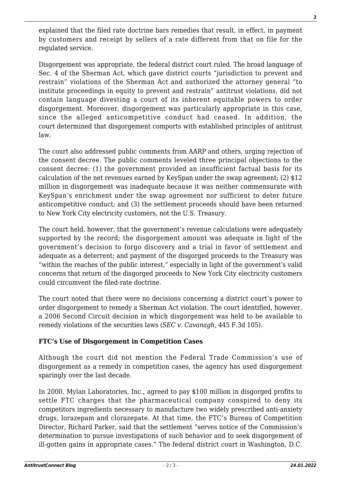explained that the filed rate doctrine bars remedies that result, in effect, in payment by customers and receipt by sellers of a rate different from that on file for the regulated service.

Disgorgement was appropriate, the federal district court ruled. The broad language of Sec. 4 of the Sherman Act, which gave district courts "jurisdiction to prevent and restrain" violations of the Sherman Act and authorized the attorney general "to institute proceedings in equity to prevent and restrain" antitrust violations, did not contain language divesting a court of its inherent equitable powers to order disgorgement. Moreover, disgorgement was particularly appropriate in this case, since the alleged anticompetitive conduct had ceased. In addition, the court determined that disgorgement comports with established principles of antitrust law.

The court also addressed public comments from AARP and others, urging rejection of the consent decree. The public comments leveled three principal objections to the consent decree: (1) the government provided an insufficient factual basis for its calculation of the net revenues earned by KeySpan under the swap agreement; (2) \$12 million in disgorgement was inadequate because it was neither commensurate with KeySpan's enrichment under the swap agreement nor sufficient to deter future anticompetitive conduct; and (3) the settlement proceeds should have been returned to New York City electricity customers, not the U.S. Treasury.

The court held, however, that the government's revenue calculations were adequately supported by the record; the disgorgement amount was adequate in light of the government's decision to forgo discovery and a trial in favor of settlement and adequate as a deterrent; and payment of the disgorged proceeds to the Treasury was "within the reaches of the public interest," especially in light of the government's valid concerns that return of the disgorged proceeds to New York City electricity customers could circumvent the filed-rate doctrine.

The court noted that there were no decisions concerning a district court's power to order disgorgement to remedy a Sherman Act violation. The court identified, however, a 2006 Second Circuit decision in which disgorgement was held to be available to remedy violations of the securities laws (*SEC v. Cavanagh*, 445 F.3d 105).

## **FTC's Use of Disgorgement in Competition Cases**

Although the court did not mention the Federal Trade Commission's use of disgorgement as a remedy in competition cases, the agency has used disgorgement sparingly over the last decade.

In 2000, Mylan Laboratories, Inc., agreed to pay \$100 million in disgorged profits to settle FTC charges that the pharmaceutical company conspired to deny its competitors ingredients necessary to manufacture two widely prescribed anti-anxiety drugs, lorazepam and clorazepate. At that time, the FTC's Bureau of Competition Director, Richard Parker, said that the settlement "serves notice of the Commission's determination to pursue investigations of such behavior and to seek disgorgement of ill-gotten gains in appropriate cases." The federal district court in Washington, D.C.